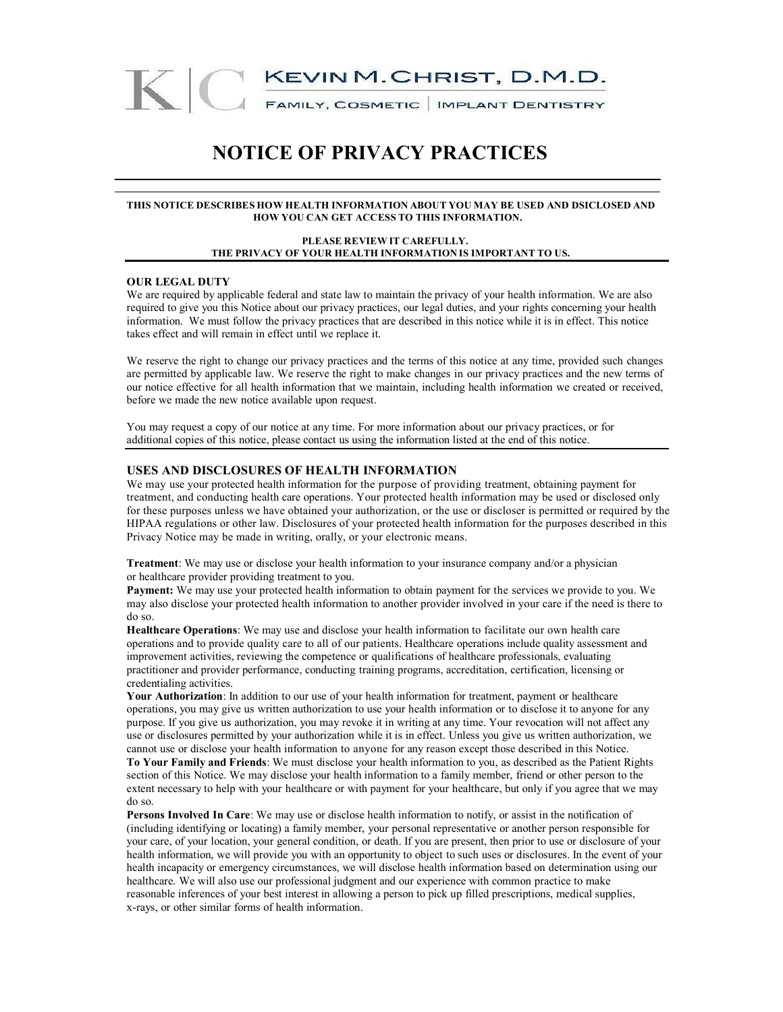

## **NOTICE OF PRIVACY PRACTICES**

#### **THIS NOTICE DESCRIBES HOW HEALTH INFORMATION ABOUT YOU MAY BE USED AND DSICLOSED AND HOW YOU CAN GET ACCESS TO THIS INFORMATION.**

#### **PLEASE REVIEW IT CAREFULLY. THE PRIVACY OF YOUR HEALTH INFORMATION IS IMPORTANT TO US.**

#### **OUR LEGAL DUTY**

We are required by applicable federal and state law to maintain the privacy of your health information. We are also required to give you this Notice about our privacy practices, our legal duties, and your rights concerning your health information. We must follow the privacy practices that are described in this notice while it is in effect. This notice takes effect and will remain in effect until we replace it.

We reserve the right to change our privacy practices and the terms of this notice at any time, provided such changes are permitted by applicable law. We reserve the right to make changes in our privacy practices and the new terms of our notice effective for all health information that we maintain, including health information we created or received, before we made the new notice available upon request.

You may request a copy of our notice at any time. For more information about our privacy practices, or for additional copies of this notice, please contact us using the information listed at the end of this notice.

#### **USES AND DISCLOSURES OF HEALTH INFORMATION**

We may use your protected health information for the purpose of providing treatment, obtaining payment for treatment, and conducting health care operations. Your protected health information may be used or disclosed only for these purposes unless we have obtained your authorization, or the use or discloser is permitted or required by the HIPAA regulations or other law. Disclosures of your protected health information for the purposes described in this Privacy Notice may be made in writing, orally, or your electronic means.

**Treatment**: We may use or disclose your health information to your insurance company and/or a physician or healthcare provider providing treatment to you.

**Payment:** We may use your protected health information to obtain payment for the services we provide to you. We may also disclose your protected health information to another provider involved in your care if the need is there to do so.

**Healthcare Operations**: We may use and disclose your health information to facilitate our own health care operations and to provide quality care to all of our patients. Healthcare operations include quality assessment and improvement activities, reviewing the competence or qualifications of healthcare professionals, evaluating practitioner and provider performance, conducting training programs, accreditation, certification, licensing or credentialing activities.

**Your Authorization**: In addition to our use of your health information for treatment, payment or healthcare operations, you may give us written authorization to use your health information or to disclose it to anyone for any purpose. If you give us authorization, you may revoke it in writing at any time. Your revocation will not affect any use or disclosures permitted by your authorization while it is in effect. Unless you give us written authorization, we cannot use or disclose your health information to anyone for any reason except those described in this Notice.

**To Your Family and Friends**: We must disclose your health information to you, as described as the Patient Rights section of this Notice. We may disclose your health information to a family member, friend or other person to the extent necessary to help with your healthcare or with payment for your healthcare, but only if you agree that we may do so.

**Persons Involved In Care**: We may use or disclose health information to notify, or assist in the notification of (including identifying or locating) a family member, your personal representative or another person responsible for your care, of your location, your general condition, or death. If you are present, then prior to use or disclosure of your health information, we will provide you with an opportunity to object to such uses or disclosures. In the event of your health incapacity or emergency circumstances, we will disclose health information based on determination using our healthcare. We will also use our professional judgment and our experience with common practice to make reasonable inferences of your best interest in allowing a person to pick up filled prescriptions, medical supplies, x-rays, or other similar forms of health information.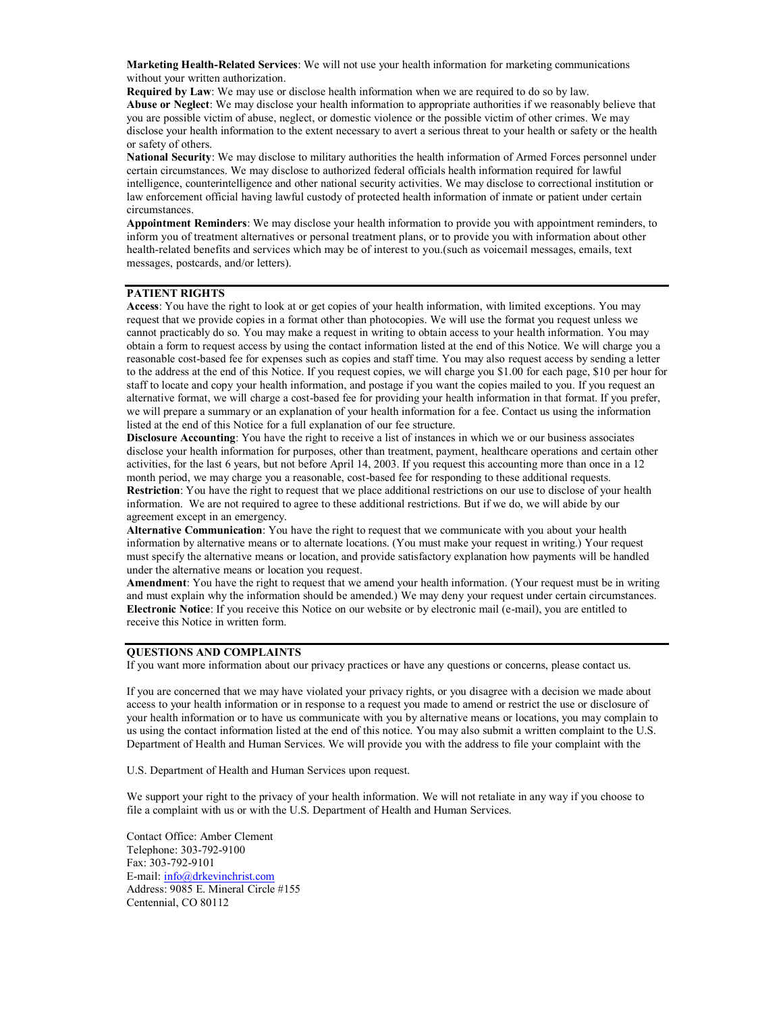**Marketing Health-Related Services**: We will not use your health information for marketing communications without your written authorization.

**Required by Law**: We may use or disclose health information when we are required to do so by law. **Abuse or Neglect**: We may disclose your health information to appropriate authorities if we reasonably believe that you are possible victim of abuse, neglect, or domestic violence or the possible victim of other crimes. We may disclose your health information to the extent necessary to avert a serious threat to your health or safety or the health or safety of others.

**National Security**: We may disclose to military authorities the health information of Armed Forces personnel under certain circumstances. We may disclose to authorized federal officials health information required for lawful intelligence, counterintelligence and other national security activities. We may disclose to correctional institution or law enforcement official having lawful custody of protected health information of inmate or patient under certain circumstances.

**Appointment Reminders**: We may disclose your health information to provide you with appointment reminders, to inform you of treatment alternatives or personal treatment plans, or to provide you with information about other health-related benefits and services which may be of interest to you.(such as voicemail messages, emails, text messages, postcards, and/or letters).

#### **PATIENT RIGHTS**

**Access**: You have the right to look at or get copies of your health information, with limited exceptions. You may request that we provide copies in a format other than photocopies. We will use the format you request unless we cannot practicably do so. You may make a request in writing to obtain access to your health information. You may obtain a form to request access by using the contact information listed at the end of this Notice. We will charge you a reasonable cost-based fee for expenses such as copies and staff time. You may also request access by sending a letter to the address at the end of this Notice. If you request copies, we will charge you \$1.00 for each page, \$10 per hour for staff to locate and copy your health information, and postage if you want the copies mailed to you. If you request an alternative format, we will charge a cost-based fee for providing your health information in that format. If you prefer, we will prepare a summary or an explanation of your health information for a fee. Contact us using the information listed at the end of this Notice for a full explanation of our fee structure.

**Disclosure Accounting**: You have the right to receive a list of instances in which we or our business associates disclose your health information for purposes, other than treatment, payment, healthcare operations and certain other activities, for the last 6 years, but not before April 14, 2003. If you request this accounting more than once in a 12 month period, we may charge you a reasonable, cost-based fee for responding to these additional requests. **Restriction**: You have the right to request that we place additional restrictions on our use to disclose of your health information. We are not required to agree to these additional restrictions. But if we do, we will abide by our agreement except in an emergency.

**Alternative Communication**: You have the right to request that we communicate with you about your health information by alternative means or to alternate locations. (You must make your request in writing.) Your request must specify the alternative means or location, and provide satisfactory explanation how payments will be handled under the alternative means or location you request.

**Amendment**: You have the right to request that we amend your health information. (Your request must be in writing and must explain why the information should be amended.) We may deny your request under certain circumstances. **Electronic Notice**: If you receive this Notice on our website or by electronic mail (e-mail), you are entitled to receive this Notice in written form.

#### **QUESTIONS AND COMPLAINTS**

If you want more information about our privacy practices or have any questions or concerns, please contact us.

If you are concerned that we may have violated your privacy rights, or you disagree with a decision we made about access to your health information or in response to a request you made to amend or restrict the use or disclosure of your health information or to have us communicate with you by alternative means or locations, you may complain to us using the contact information listed at the end of this notice. You may also submit a written complaint to the U.S. Department of Health and Human Services. We will provide you with the address to file your complaint with the

U.S. Department of Health and Human Services upon request.

We support your right to the privacy of your health information. We will not retaliate in any way if you choose to file a complaint with us or with the U.S. Department of Health and Human Services.

Contact Office: Amber Clement Telephone: 303-792-9100 Fax: 303-792-9101 E-mail: info@drkevinchrist.com Address: 9085 E. Mineral Circle #155 Centennial, CO 80112